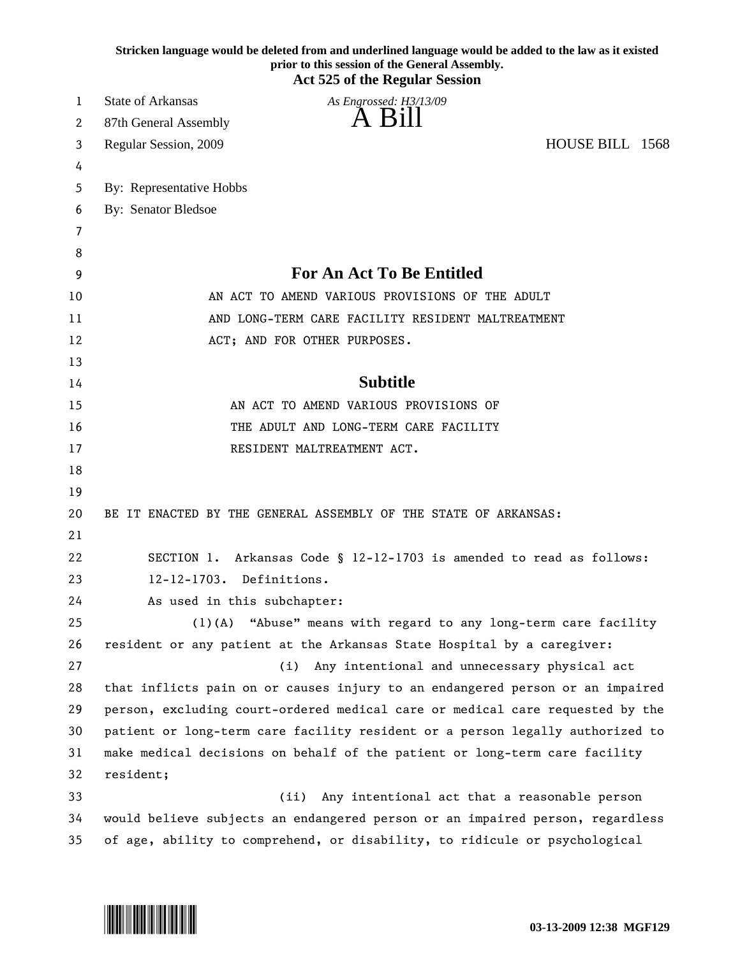|    | Stricken language would be deleted from and underlined language would be added to the law as it existed<br>prior to this session of the General Assembly.<br><b>Act 525 of the Regular Session</b> |
|----|----------------------------------------------------------------------------------------------------------------------------------------------------------------------------------------------------|
| 1  | <b>State of Arkansas</b><br>As Engrossed: H3/13/09                                                                                                                                                 |
| 2  | A Bill<br>87th General Assembly                                                                                                                                                                    |
| 3  | HOUSE BILL 1568<br>Regular Session, 2009                                                                                                                                                           |
| 4  |                                                                                                                                                                                                    |
| 5  | By: Representative Hobbs                                                                                                                                                                           |
| 6  | By: Senator Bledsoe                                                                                                                                                                                |
| 7  |                                                                                                                                                                                                    |
| 8  |                                                                                                                                                                                                    |
| 9  | <b>For An Act To Be Entitled</b>                                                                                                                                                                   |
| 10 | AN ACT TO AMEND VARIOUS PROVISIONS OF THE ADULT                                                                                                                                                    |
| 11 | AND LONG-TERM CARE FACILITY RESIDENT MALTREATMENT                                                                                                                                                  |
| 12 | ACT; AND FOR OTHER PURPOSES.                                                                                                                                                                       |
| 13 |                                                                                                                                                                                                    |
| 14 | <b>Subtitle</b>                                                                                                                                                                                    |
| 15 | AN ACT TO AMEND VARIOUS PROVISIONS OF                                                                                                                                                              |
| 16 | THE ADULT AND LONG-TERM CARE FACILITY                                                                                                                                                              |
| 17 | RESIDENT MALTREATMENT ACT.                                                                                                                                                                         |
| 18 |                                                                                                                                                                                                    |
| 19 |                                                                                                                                                                                                    |
| 20 | BE IT ENACTED BY THE GENERAL ASSEMBLY OF THE STATE OF ARKANSAS:                                                                                                                                    |
| 21 |                                                                                                                                                                                                    |
| 22 | Arkansas Code § 12-12-1703 is amended to read as follows:<br>SECTION 1.                                                                                                                            |
| 23 | Definitions.<br>$12 - 12 - 1703$ .                                                                                                                                                                 |
| 24 | As used in this subchapter:                                                                                                                                                                        |
| 25 | (1)(A) "Abuse" means with regard to any long-term care facility                                                                                                                                    |
| 26 | resident or any patient at the Arkansas State Hospital by a caregiver:                                                                                                                             |
| 27 | Any intentional and unnecessary physical act<br>(i)                                                                                                                                                |
| 28 | that inflicts pain on or causes injury to an endangered person or an impaired                                                                                                                      |
| 29 | person, excluding court-ordered medical care or medical care requested by the                                                                                                                      |
| 30 | patient or long-term care facility resident or a person legally authorized to                                                                                                                      |
| 31 | make medical decisions on behalf of the patient or long-term care facility                                                                                                                         |
| 32 | resident;                                                                                                                                                                                          |
| 33 | (ii)<br>Any intentional act that a reasonable person                                                                                                                                               |
| 34 | would believe subjects an endangered person or an impaired person, regardless                                                                                                                      |
| 35 | of age, ability to comprehend, or disability, to ridicule or psychological                                                                                                                         |

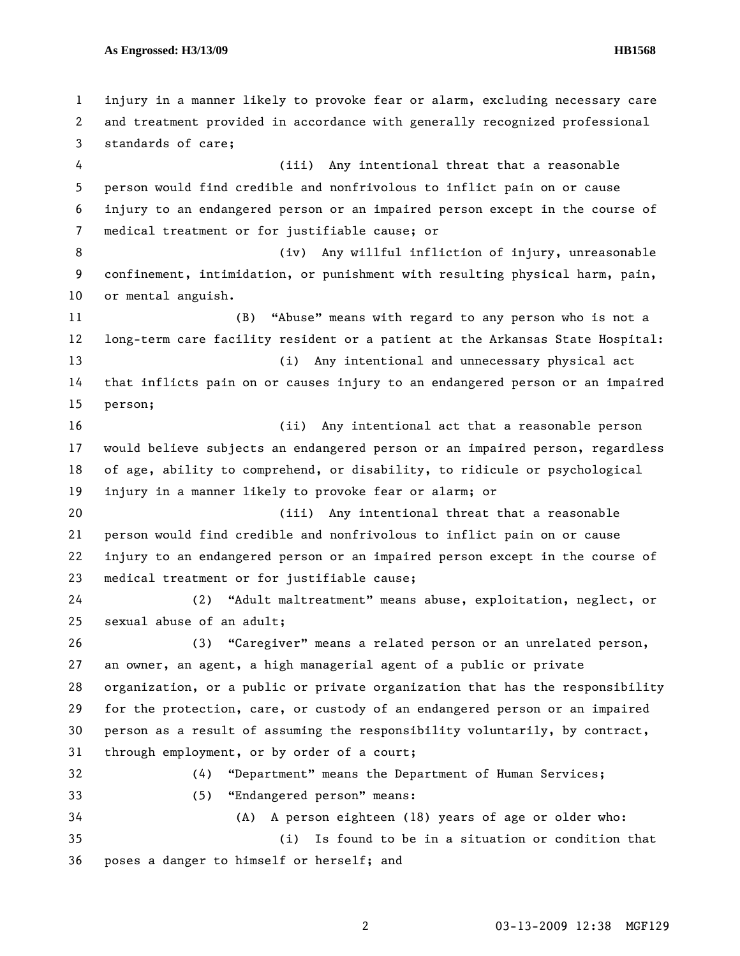1 injury in a manner likely to provoke fear or alarm, excluding necessary care 2 and treatment provided in accordance with generally recognized professional 3 standards of care; 4 (iii) Any intentional threat that a reasonable 5 person would find credible and nonfrivolous to inflict pain on or cause 6 injury to an endangered person or an impaired person except in the course of 7 medical treatment or for justifiable cause; or 8 (iv) Any willful infliction of injury, unreasonable 9 confinement, intimidation, or punishment with resulting physical harm, pain, 10 or mental anguish. 11 (B) "Abuse" means with regard to any person who is not a 12 long-term care facility resident or a patient at the Arkansas State Hospital: 13 (i) Any intentional and unnecessary physical act 14 that inflicts pain on or causes injury to an endangered person or an impaired 15 person; 16 (ii) Any intentional act that a reasonable person 17 would believe subjects an endangered person or an impaired person, regardless 18 of age, ability to comprehend, or disability, to ridicule or psychological 19 injury in a manner likely to provoke fear or alarm; or 20 (iii) Any intentional threat that a reasonable 21 person would find credible and nonfrivolous to inflict pain on or cause 22 injury to an endangered person or an impaired person except in the course of 23 medical treatment or for justifiable cause; 24 (2) "Adult maltreatment" means abuse, exploitation, neglect, or 25 sexual abuse of an adult; 26 (3) "Caregiver" means a related person or an unrelated person, 27 an owner, an agent, a high managerial agent of a public or private 28 organization, or a public or private organization that has the responsibility 29 for the protection, care, or custody of an endangered person or an impaired 30 person as a result of assuming the responsibility voluntarily, by contract, 31 through employment, or by order of a court; 32 (4) "Department" means the Department of Human Services; 33 (5) "Endangered person" means: 34 (A) A person eighteen (18) years of age or older who: 35 (i) Is found to be in a situation or condition that 36 poses a danger to himself or herself; and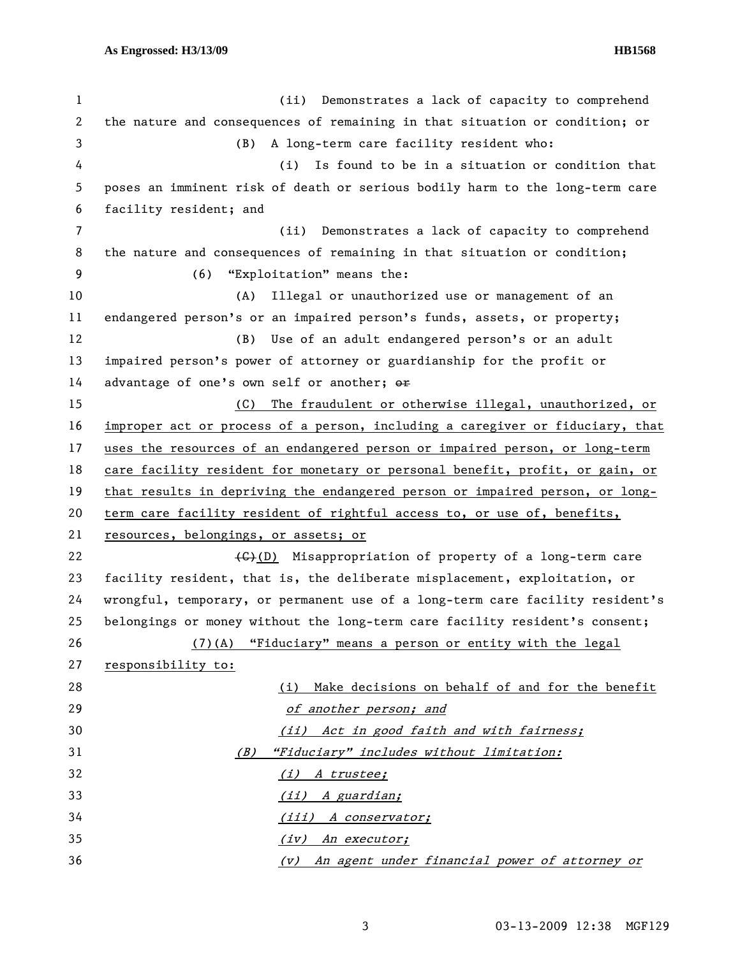1 (ii) Demonstrates a lack of capacity to comprehend 2 the nature and consequences of remaining in that situation or condition; or 3 (B) A long-term care facility resident who: 4 (i) Is found to be in a situation or condition that 5 poses an imminent risk of death or serious bodily harm to the long-term care 6 facility resident; and 7 (ii) Demonstrates a lack of capacity to comprehend 8 the nature and consequences of remaining in that situation or condition; 9 (6) "Exploitation" means the: 10 (A) Illegal or unauthorized use or management of an 11 endangered person's or an impaired person's funds, assets, or property; 12 (B) Use of an adult endangered person's or an adult 13 impaired person's power of attorney or guardianship for the profit or 14 advantage of one's own self or another; or 15 (C) The fraudulent or otherwise illegal, unauthorized, or 16 improper act or process of a person, including a caregiver or fiduciary, that 17 uses the resources of an endangered person or impaired person, or long-term 18 care facility resident for monetary or personal benefit, profit, or gain, or 19 that results in depriving the endangered person or impaired person, or long-20 term care facility resident of rightful access to, or use of, benefits, 21 resources, belongings, or assets; or 22  $\leftarrow$   $\leftarrow$   $\leftarrow$  (D) Misappropriation of property of a long-term care 23 facility resident, that is, the deliberate misplacement, exploitation, or 24 wrongful, temporary, or permanent use of a long-term care facility resident's 25 belongings or money without the long-term care facility resident's consent; 26 (7)(A) "Fiduciary" means a person or entity with the legal 27 responsibility to: 28 (i) Make decisions on behalf of and for the benefit 29 of another person; and 30 (ii) Act in good faith and with fairness; 31 (B) "Fiduciary" includes without limitation: 32 (i) A trustee; 33 (ii) A guardian; 34 (iii) A conservator; 35 (iv) An executor; 36 (v) An agent under financial power of attorney or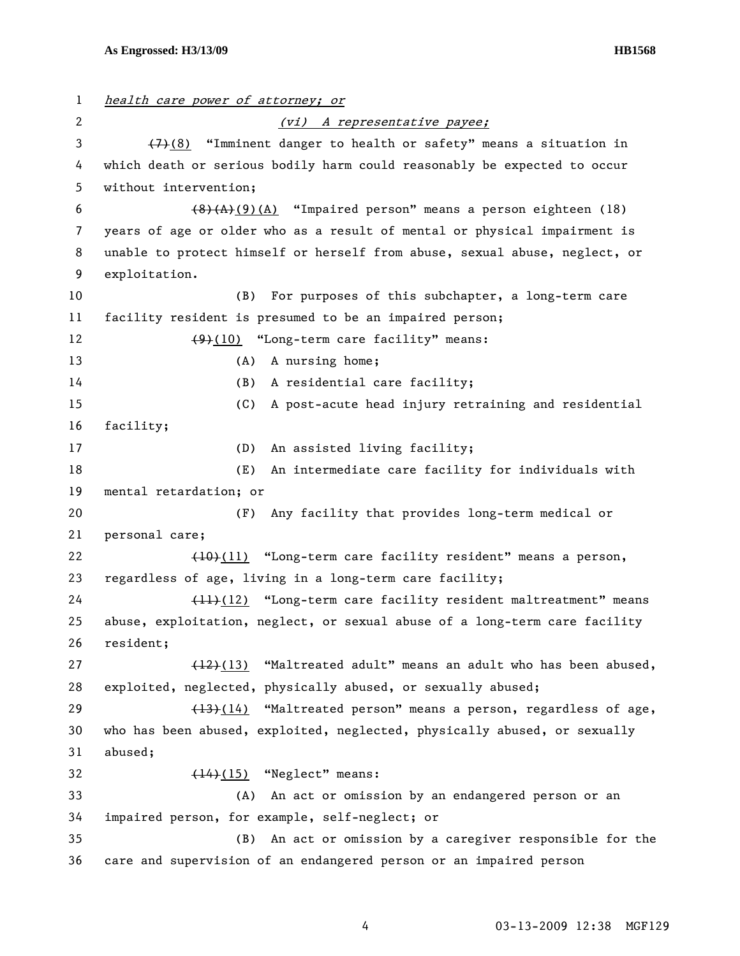1 health care power of attorney; or 2 (vi) A representative payee; 3  $\left(7\right)\left(8\right)$  "Imminent danger to health or safety" means a situation in 4 which death or serious bodily harm could reasonably be expected to occur 5 without intervention; 6  $\left(8\right)\left(A\right)$  (4) "Impaired person" means a person eighteen (18) 7 years of age or older who as a result of mental or physical impairment is 8 unable to protect himself or herself from abuse, sexual abuse, neglect, or 9 exploitation. 10 (B) For purposes of this subchapter, a long-term care 11 facility resident is presumed to be an impaired person; 12 (9)(10) "Long-term care facility" means: 13 (A) A nursing home; 14 (B) A residential care facility; 15 (C) A post-acute head injury retraining and residential 16 facility; 17 (D) An assisted living facility; 18 (E) An intermediate care facility for individuals with 19 mental retardation; or 20 (F) Any facility that provides long-term medical or 21 personal care; 22 (10)(11) "Long-term care facility resident" means a person, 23 regardless of age, living in a long-term care facility; 24 (11)(12) "Long-term care facility resident maltreatment" means 25 abuse, exploitation, neglect, or sexual abuse of a long-term care facility 26 resident; 27  $(12)(13)$  "Maltreated adult" means an adult who has been abused, 28 exploited, neglected, physically abused, or sexually abused; 29 (13)(14) "Maltreated person" means a person, regardless of age, 30 who has been abused, exploited, neglected, physically abused, or sexually 31 abused; 32  $(14)(15)$  "Neglect" means: 33 (A) An act or omission by an endangered person or an 34 impaired person, for example, self-neglect; or 35 (B) An act or omission by a caregiver responsible for the 36 care and supervision of an endangered person or an impaired person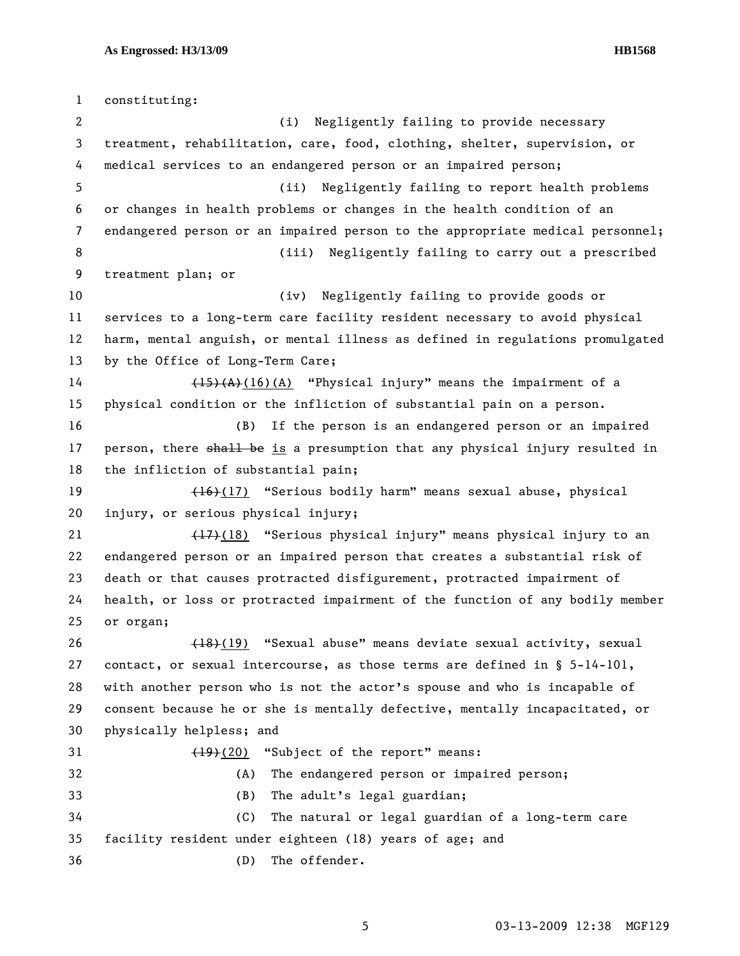1 constituting: 2 (i) Negligently failing to provide necessary 3 treatment, rehabilitation, care, food, clothing, shelter, supervision, or 4 medical services to an endangered person or an impaired person; 5 (ii) Negligently failing to report health problems 6 or changes in health problems or changes in the health condition of an 7 endangered person or an impaired person to the appropriate medical personnel; 8 (iii) Negligently failing to carry out a prescribed 9 treatment plan; or 10 (iv) Negligently failing to provide goods or 11 services to a long-term care facility resident necessary to avoid physical 12 harm, mental anguish, or mental illness as defined in regulations promulgated 13 by the Office of Long-Term Care; 14 (15)(A)(16)(A) "Physical injury" means the impairment of a 15 physical condition or the infliction of substantial pain on a person. 16 (B) If the person is an endangered person or an impaired 17 person, there shall be is a presumption that any physical injury resulted in 18 the infliction of substantial pain; 19 (16)(17) "Serious bodily harm" means sexual abuse, physical 20 injury, or serious physical injury; 21 (17)(18) "Serious physical injury" means physical injury to an 22 endangered person or an impaired person that creates a substantial risk of 23 death or that causes protracted disfigurement, protracted impairment of 24 health, or loss or protracted impairment of the function of any bodily member 25 or organ; 26 (18)(19) "Sexual abuse" means deviate sexual activity, sexual 27 contact, or sexual intercourse, as those terms are defined in § 5-14-101, 28 with another person who is not the actor's spouse and who is incapable of 29 consent because he or she is mentally defective, mentally incapacitated, or 30 physically helpless; and 31 (19)(20) "Subject of the report" means: 32 (A) The endangered person or impaired person; 33 (B) The adult's legal guardian; 34 (C) The natural or legal guardian of a long-term care 35 facility resident under eighteen (18) years of age; and 36 (D) The offender.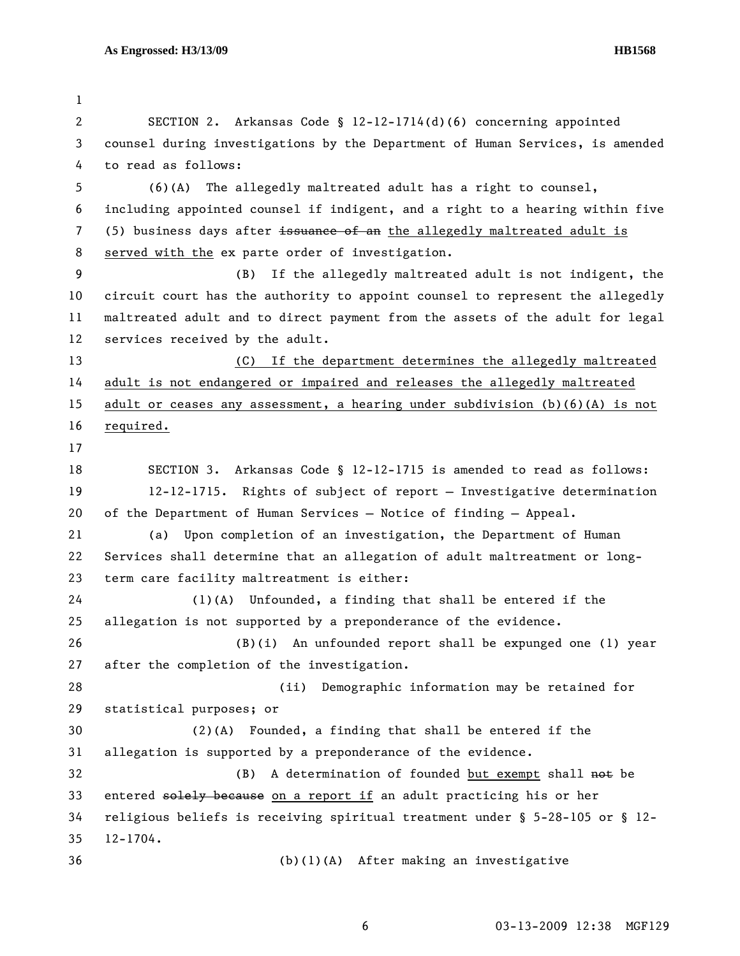1 2 SECTION 2. Arkansas Code § 12-12-1714(d)(6) concerning appointed 3 counsel during investigations by the Department of Human Services, is amended 4 to read as follows: 5 (6)(A) The allegedly maltreated adult has a right to counsel, 6 including appointed counsel if indigent, and a right to a hearing within five 7 (5) business days after issuance of an the allegedly maltreated adult is 8 served with the ex parte order of investigation. 9 (B) If the allegedly maltreated adult is not indigent, the 10 circuit court has the authority to appoint counsel to represent the allegedly 11 maltreated adult and to direct payment from the assets of the adult for legal 12 services received by the adult. 13 (C) If the department determines the allegedly maltreated 14 adult is not endangered or impaired and releases the allegedly maltreated 15 adult or ceases any assessment, a hearing under subdivision (b)(6)(A) is not 16 required. 17 18 SECTION 3. Arkansas Code § 12-12-1715 is amended to read as follows: 19 12-12-1715. Rights of subject of report — Investigative determination 20 of the Department of Human Services — Notice of finding — Appeal. 21 (a) Upon completion of an investigation, the Department of Human 22 Services shall determine that an allegation of adult maltreatment or long-23 term care facility maltreatment is either: 24 (1)(A) Unfounded, a finding that shall be entered if the 25 allegation is not supported by a preponderance of the evidence. 26 (B)(i) An unfounded report shall be expunged one (1) year 27 after the completion of the investigation. 28 (ii) Demographic information may be retained for 29 statistical purposes; or 30 (2)(A) Founded, a finding that shall be entered if the 31 allegation is supported by a preponderance of the evidence. 32 (B) A determination of founded but exempt shall not be 33 entered solely because on a report if an adult practicing his or her 34 religious beliefs is receiving spiritual treatment under § 5-28-105 or § 12- 35 12-1704. 36 (b)(1)(A) After making an investigative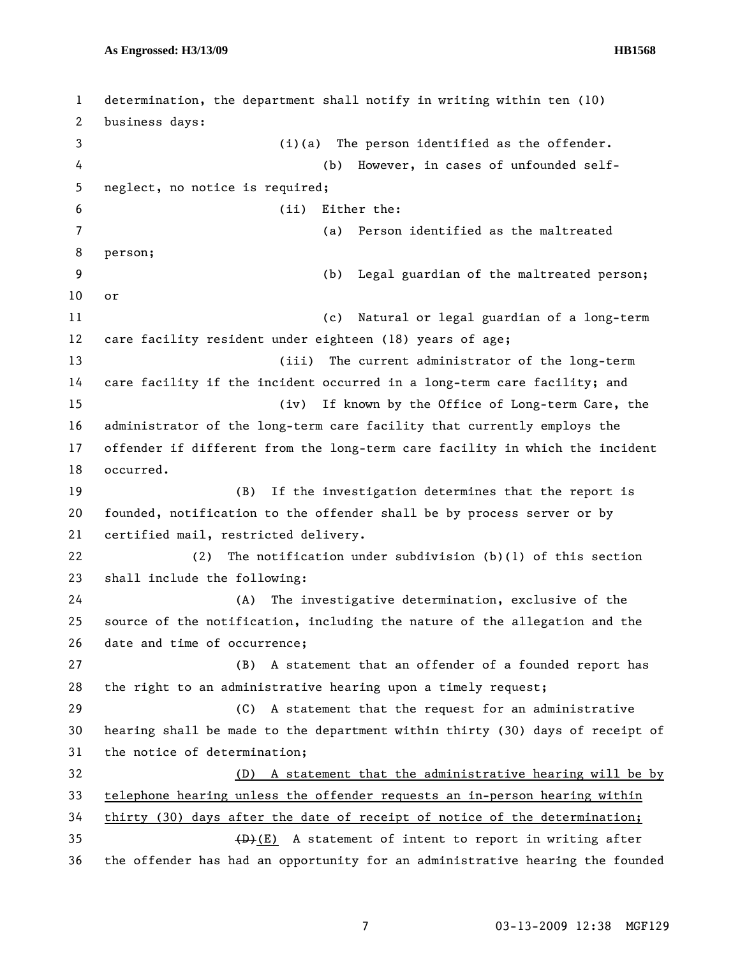1 determination, the department shall notify in writing within ten (10) 2 business days: 3 (i)(a) The person identified as the offender. 4 (b) However, in cases of unfounded self-5 neglect, no notice is required; 6 (ii) Either the: 7 (a) Person identified as the maltreated 8 person; 9 (b) Legal guardian of the maltreated person; 10 or 11 (c) Natural or legal guardian of a long-term 12 care facility resident under eighteen (18) years of age; 13 (iii) The current administrator of the long-term 14 care facility if the incident occurred in a long-term care facility; and 15 (iv) If known by the Office of Long-term Care, the 16 administrator of the long-term care facility that currently employs the 17 offender if different from the long-term care facility in which the incident 18 occurred. 19 (B) If the investigation determines that the report is 20 founded, notification to the offender shall be by process server or by 21 certified mail, restricted delivery. 22 (2) The notification under subdivision (b)(1) of this section 23 shall include the following: 24 (A) The investigative determination, exclusive of the 25 source of the notification, including the nature of the allegation and the 26 date and time of occurrence; 27 (B) A statement that an offender of a founded report has 28 the right to an administrative hearing upon a timely request; 29 (C) A statement that the request for an administrative 30 hearing shall be made to the department within thirty (30) days of receipt of 31 the notice of determination; 32 (D) A statement that the administrative hearing will be by 33 telephone hearing unless the offender requests an in-person hearing within 34 thirty (30) days after the date of receipt of notice of the determination; 35  $(B)+(E)$  A statement of intent to report in writing after 36 the offender has had an opportunity for an administrative hearing the founded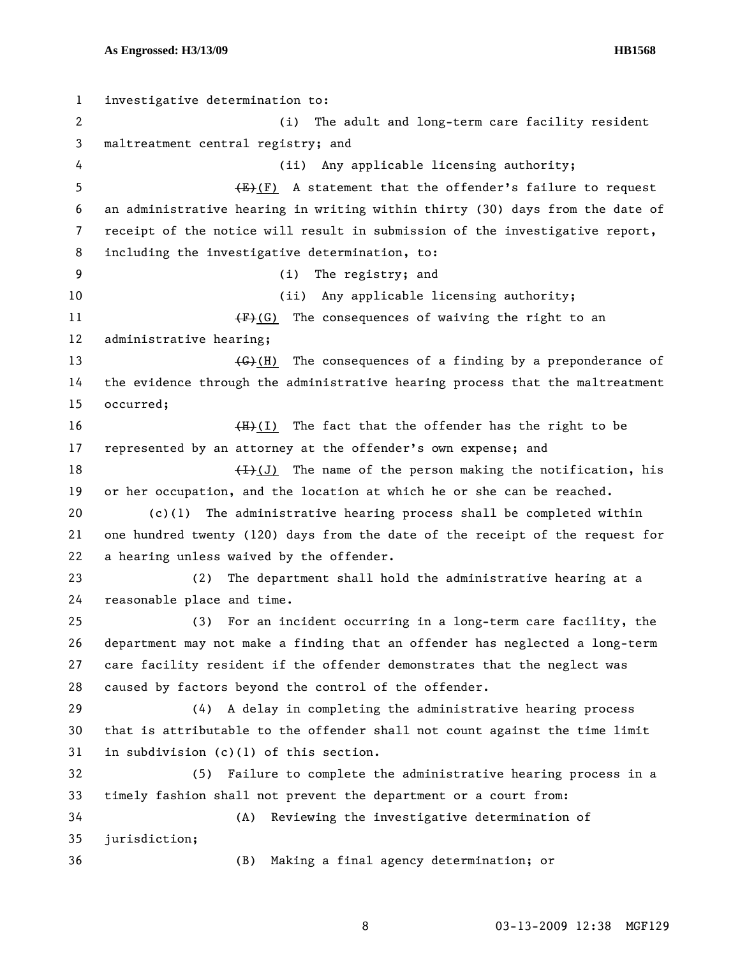1 investigative determination to: 2 (i) The adult and long-term care facility resident 3 maltreatment central registry; and 4 (ii) Any applicable licensing authority; 5  $\leftarrow$   $\leftarrow$   $\leftarrow$   $\leftarrow$   $\leftarrow$   $\leftarrow$   $\leftarrow$   $\leftarrow$   $\leftarrow$   $\leftarrow$   $\leftarrow$   $\leftarrow$   $\leftarrow$   $\leftarrow$   $\leftarrow$   $\leftarrow$   $\leftarrow$   $\leftarrow$   $\leftarrow$   $\leftarrow$   $\leftarrow$   $\leftarrow$   $\leftarrow$   $\leftarrow$   $\leftarrow$   $\leftarrow$   $\leftarrow$   $\leftarrow$   $\leftarrow$   $\leftarrow$   $\leftarrow$   $\leftarrow$   $\leftarrow$   $\leftarrow$   $\leftarrow$   $\leftarrow$   $\left$ 6 an administrative hearing in writing within thirty (30) days from the date of 7 receipt of the notice will result in submission of the investigative report, 8 including the investigative determination, to: 9 (i) The registry; and 10 (ii) Any applicable licensing authority; 11  $\overline{F}(G)$  The consequences of waiving the right to an 12 administrative hearing; 13 (G)(H) The consequences of a finding by a preponderance of 14 the evidence through the administrative hearing process that the maltreatment 15 occurred; 16  $(H)+(I)$  The fact that the offender has the right to be 17 represented by an attorney at the offender's own expense; and 18  $(H)(J)$  The name of the person making the notification, his 19 or her occupation, and the location at which he or she can be reached. 20 (c)(1) The administrative hearing process shall be completed within 21 one hundred twenty (120) days from the date of the receipt of the request for 22 a hearing unless waived by the offender. 23 (2) The department shall hold the administrative hearing at a 24 reasonable place and time. 25 (3) For an incident occurring in a long-term care facility, the 26 department may not make a finding that an offender has neglected a long-term 27 care facility resident if the offender demonstrates that the neglect was 28 caused by factors beyond the control of the offender. 29 (4) A delay in completing the administrative hearing process 30 that is attributable to the offender shall not count against the time limit 31 in subdivision (c)(1) of this section. 32 (5) Failure to complete the administrative hearing process in a 33 timely fashion shall not prevent the department or a court from: 34 (A) Reviewing the investigative determination of 35 jurisdiction; 36 (B) Making a final agency determination; or

8 03-13-2009 12:38 MGF129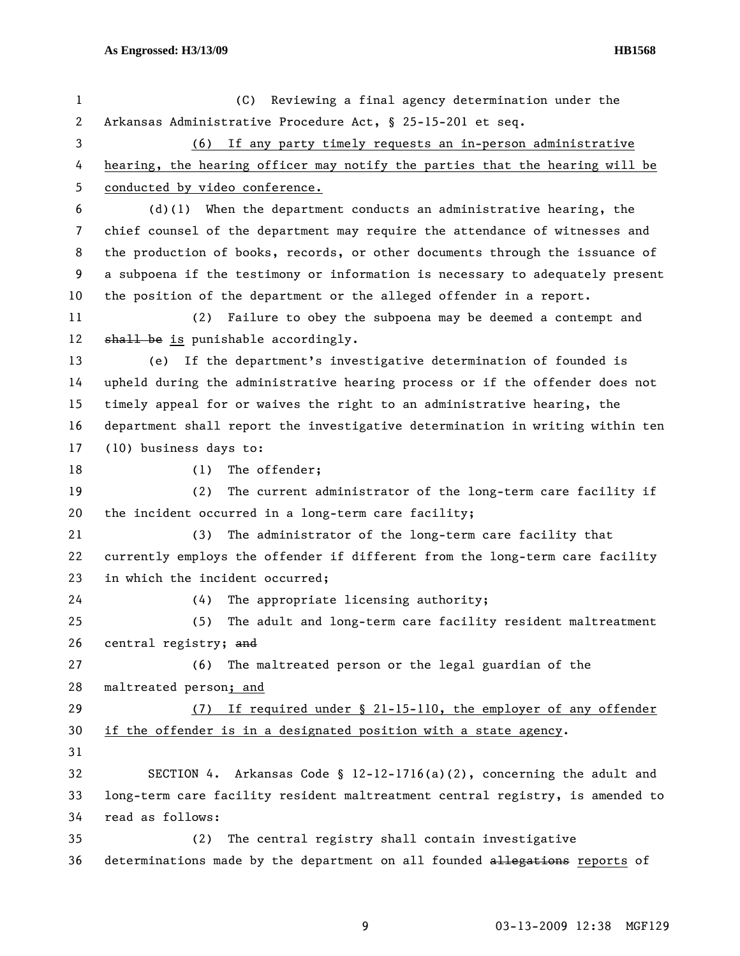| 1  | (C) Reviewing a final agency determination under the                          |
|----|-------------------------------------------------------------------------------|
| 2  | Arkansas Administrative Procedure Act, § 25-15-201 et seq.                    |
| 3  | (6) If any party timely requests an in-person administrative                  |
| 4  | hearing, the hearing officer may notify the parties that the hearing will be  |
| 5  | conducted by video conference.                                                |
| 6  | $(d)(1)$ When the department conducts an administrative hearing, the          |
| 7  | chief counsel of the department may require the attendance of witnesses and   |
| 8  | the production of books, records, or other documents through the issuance of  |
| 9  | a subpoena if the testimony or information is necessary to adequately present |
| 10 | the position of the department or the alleged offender in a report.           |
| 11 | Failure to obey the subpoena may be deemed a contempt and<br>(2)              |
| 12 | shall be is punishable accordingly.                                           |
| 13 | If the department's investigative determination of founded is<br>(e)          |
| 14 | upheld during the administrative hearing process or if the offender does not  |
| 15 | timely appeal for or waives the right to an administrative hearing, the       |
| 16 | department shall report the investigative determination in writing within ten |
| 17 | (10) business days to:                                                        |
| 18 | The offender;<br>(1)                                                          |
| 19 | The current administrator of the long-term care facility if<br>(2)            |
| 20 | the incident occurred in a long-term care facility;                           |
| 21 | The administrator of the long-term care facility that<br>(3)                  |
| 22 | currently employs the offender if different from the long-term care facility  |
| 23 | in which the incident occurred;                                               |
| 24 | The appropriate licensing authority;<br>(4)                                   |
| 25 | (5)<br>The adult and long-term care facility resident maltreatment            |
| 26 | central registry; and                                                         |
| 27 | The maltreated person or the legal guardian of the<br>(6)                     |
| 28 | maltreated person; and                                                        |
| 29 | If required under $\S$ 21-15-110, the employer of any offender<br>(7)         |
| 30 | if the offender is in a designated position with a state agency.              |
| 31 |                                                                               |
| 32 | SECTION 4. Arkansas Code § $12-12-1716(a)(2)$ , concerning the adult and      |
| 33 | long-term care facility resident maltreatment central registry, is amended to |
| 34 | read as follows:                                                              |
| 35 | The central registry shall contain investigative<br>(2)                       |
| 36 | determinations made by the department on all founded allegations reports of   |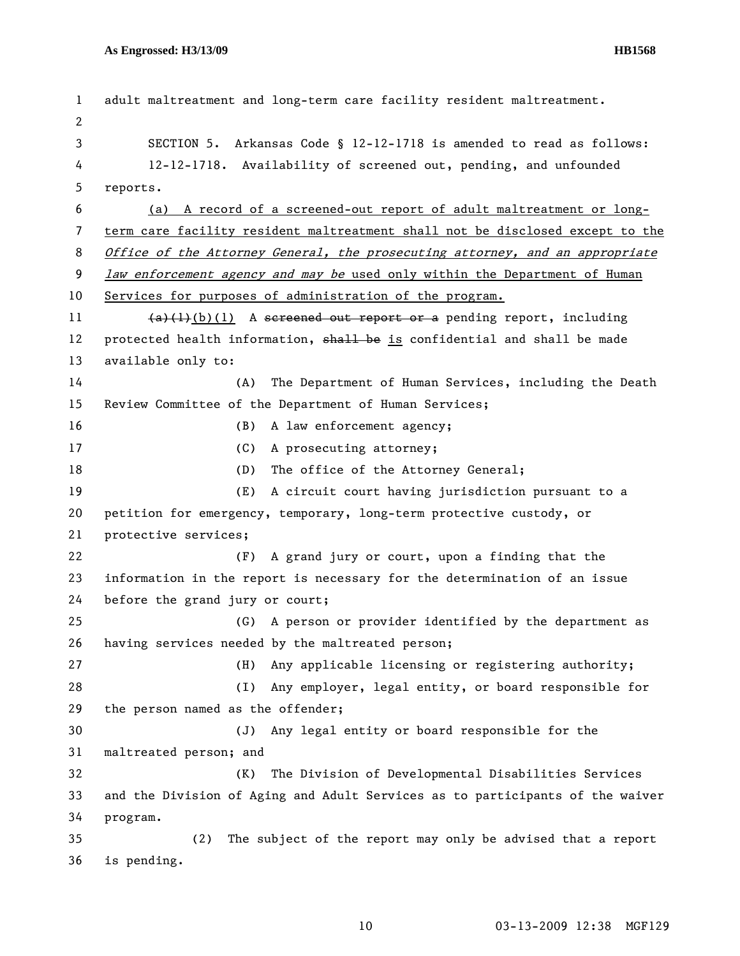```
1 adult maltreatment and long-term care facility resident maltreatment. 
2 
3 SECTION 5. Arkansas Code § 12-12-1718 is amended to read as follows: 
4 12-12-1718. Availability of screened out, pending, and unfounded 
5 reports. 
6 (a) A record of a screened-out report of adult maltreatment or long-
7 term care facility resident maltreatment shall not be disclosed except to the 
8 Office of the Attorney General, the prosecuting attorney, and an appropriate
9 law enforcement agency and may be used only within the Department of Human
10 Services for purposes of administration of the program.
11 (a)+(b)(1) A sereened out report or a pending report, including
12 protected health information, shall be is confidential and shall be made
13 available only to: 
14 (A) The Department of Human Services, including the Death 
15 Review Committee of the Department of Human Services; 
16 (B) A law enforcement agency;
17 (C) A prosecuting attorney;
18 (D) The office of the Attorney General;
19 (E) A circuit court having jurisdiction pursuant to a 
20 petition for emergency, temporary, long-term protective custody, or 
21 protective services; 
22 (F) A grand jury or court, upon a finding that the 
23 information in the report is necessary for the determination of an issue 
24 before the grand jury or court; 
25 (G) A person or provider identified by the department as 
26 having services needed by the maltreated person; 
27 (H) Any applicable licensing or registering authority; 
28 (I) Any employer, legal entity, or board responsible for 
29 the person named as the offender; 
30 (J) Any legal entity or board responsible for the 
31 maltreated person; and 
32 (K) The Division of Developmental Disabilities Services 
33 and the Division of Aging and Adult Services as to participants of the waiver 
34 program. 
35 (2) The subject of the report may only be advised that a report 
36 is pending.
```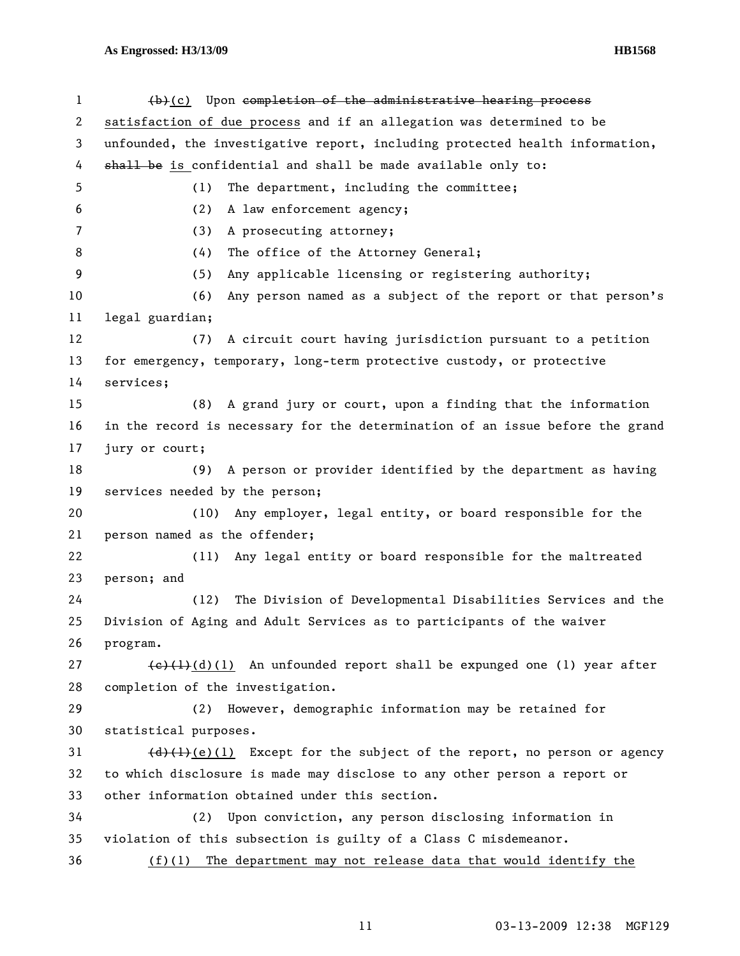| $\mathbf{1}$ | (b)(c) Upon completion of the administrative hearing process                                          |
|--------------|-------------------------------------------------------------------------------------------------------|
| 2            | satisfaction of due process and if an allegation was determined to be                                 |
| 3            | unfounded, the investigative report, including protected health information,                          |
| 4            | shall be is confidential and shall be made available only to:                                         |
| 5            | The department, including the committee;<br>(1)                                                       |
| 6            | (2)<br>A law enforcement agency;                                                                      |
| 7            | A prosecuting attorney;<br>(3)                                                                        |
| 8            | (4)<br>The office of the Attorney General;                                                            |
| 9            | Any applicable licensing or registering authority;<br>(5)                                             |
| 10           | Any person named as a subject of the report or that person's<br>(6)                                   |
| 11           | legal guardian;                                                                                       |
| 12           | A circuit court having jurisdiction pursuant to a petition<br>(7)                                     |
| 13           | for emergency, temporary, long-term protective custody, or protective                                 |
| 14           | services;                                                                                             |
| 15           | (8) A grand jury or court, upon a finding that the information                                        |
| 16           | in the record is necessary for the determination of an issue before the grand                         |
| 17           | jury or court;                                                                                        |
| 18           | (9) A person or provider identified by the department as having                                       |
| 19           | services needed by the person;                                                                        |
| 20           | (10) Any employer, legal entity, or board responsible for the                                         |
| 21           | person named as the offender;                                                                         |
| 22           | Any legal entity or board responsible for the maltreated<br>(11)                                      |
| 23           | person; and                                                                                           |
| 24           | The Division of Developmental Disabilities Services and the<br>(12)                                   |
| 25           | Division of Aging and Adult Services as to participants of the waiver                                 |
| 26           | program.                                                                                              |
| 27           | $\left(\frac{e}{t}\right)\left(1\right)$ (1) An unfounded report shall be expunged one (1) year after |
| 28           | completion of the investigation.                                                                      |
| 29           | However, demographic information may be retained for<br>(2)                                           |
| 30           | statistical purposes.                                                                                 |
| 31           | $\{\frac{d}{d}\}\$ (e)(1) Except for the subject of the report, no person or agency                   |
| 32           | to which disclosure is made may disclose to any other person a report or                              |
| 33           | other information obtained under this section.                                                        |
| 34           | (2) Upon conviction, any person disclosing information in                                             |
| 35           | violation of this subsection is guilty of a Class C misdemeanor.                                      |
| 36           | The department may not release data that would identify the<br>(f)(1)                                 |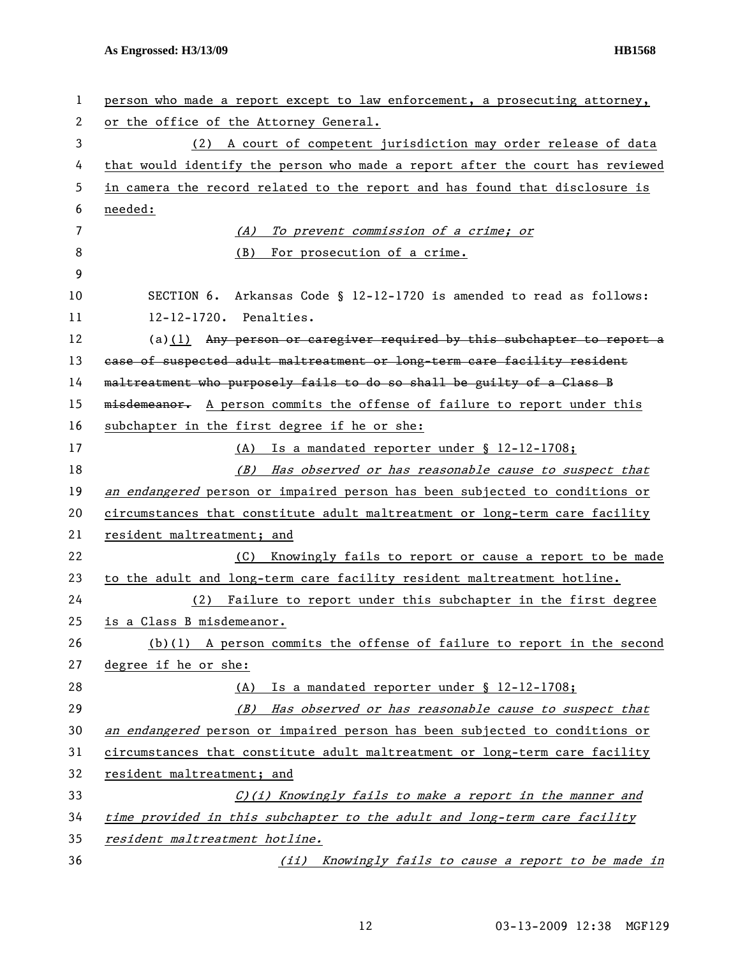| 1  | person who made a report except to law enforcement, a prosecuting attorney,   |
|----|-------------------------------------------------------------------------------|
| 2  | or the office of the Attorney General.                                        |
| 3  | (2) A court of competent jurisdiction may order release of data               |
| 4  | that would identify the person who made a report after the court has reviewed |
| 5  | in camera the record related to the report and has found that disclosure is   |
| 6  | needed:                                                                       |
| 7  | (A) To prevent commission of a crime; or                                      |
| 8  | (B)<br>For prosecution of a crime.                                            |
| 9  |                                                                               |
| 10 | SECTION 6. Arkansas Code § 12-12-1720 is amended to read as follows:          |
| 11 | 12-12-1720. Penalties.                                                        |
| 12 | $(a)(1)$ Any person or caregiver required by this subchapter to report a      |
| 13 | ease of suspected adult maltreatment or long-term care facility resident      |
| 14 | maltreatment who purposely fails to do so shall be guilty of a Class B        |
| 15 | misdemeanor. A person commits the offense of failure to report under this     |
| 16 | subchapter in the first degree if he or she:                                  |
| 17 | (A) Is a mandated reporter under § 12-12-1708;                                |
| 18 | (B) Has observed or has reasonable cause to suspect that                      |
| 19 | an endangered person or impaired person has been subjected to conditions or   |
| 20 | circumstances that constitute adult maltreatment or long-term care facility   |
| 21 | resident maltreatment; and                                                    |
| 22 | Knowingly fails to report or cause a report to be made<br>(C)                 |
| 23 | to the adult and long-term care facility resident maltreatment hotline.       |
| 24 | (2) Failure to report under this subchapter in the first degree               |
| 25 | is a Class B misdemeanor.                                                     |
| 26 | $(b)(1)$ A person commits the offense of failure to report in the second      |
| 27 | degree if he or she:                                                          |
| 28 | Is a mandated reporter under § 12-12-1708;<br>(A)                             |
| 29 | (B)<br>Has observed or has reasonable cause to suspect that                   |
| 30 | an endangered person or impaired person has been subjected to conditions or   |
| 31 | circumstances that constitute adult maltreatment or long-term care facility   |
| 32 | resident maltreatment; and                                                    |
| 33 | C)(i) Knowingly fails to make a report in the manner and                      |
| 34 | time provided in this subchapter to the adult and long-term care facility     |
| 35 | resident maltreatment hotline.                                                |
| 36 | Knowingly fails to cause a report to be made in<br>(iii)                      |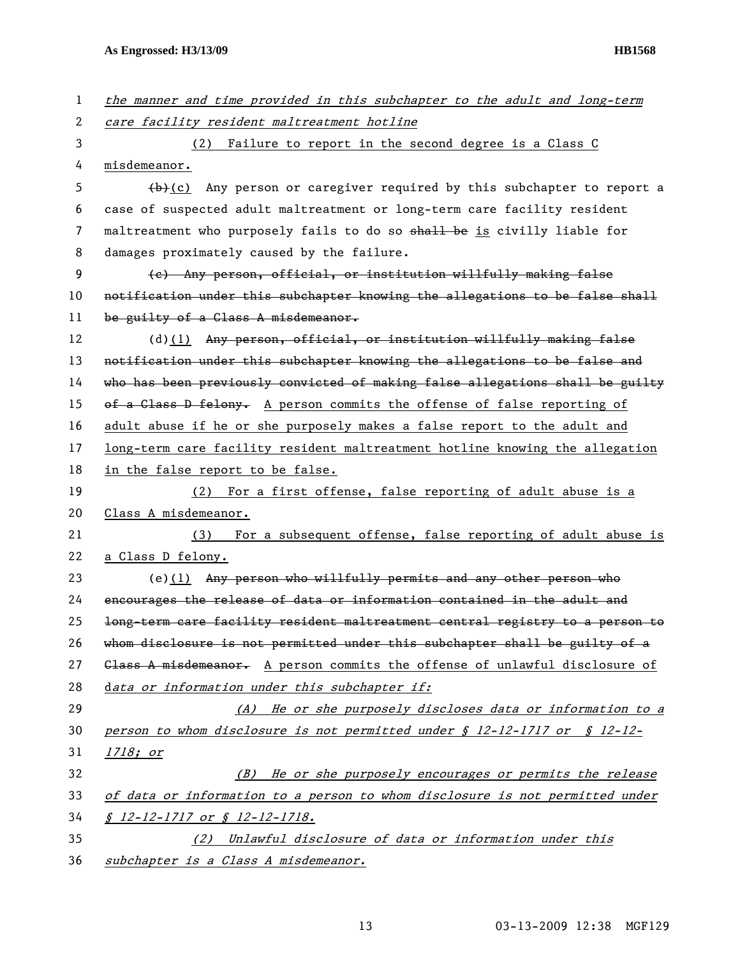| $\mathbf{1}$   | the manner and time provided in this subchapter to the adult and long-term            |
|----------------|---------------------------------------------------------------------------------------|
| $\overline{c}$ | care facility resident maltreatment hotline                                           |
| 3              | (2) Failure to report in the second degree is a Class C                               |
| 4              | misdemeanor.                                                                          |
| 5              | $(b)+(c)$ Any person or caregiver required by this subchapter to report a             |
| 6              | case of suspected adult maltreatment or long-term care facility resident              |
| 7              | maltreatment who purposely fails to do so shall be is civilly liable for              |
| 8              | damages proximately caused by the failure.                                            |
| 9              | (e) Any person, official, or institution willfully making false                       |
| 10             | notification under this subchapter knowing the allegations to be false shall          |
| 11             | be guilty of a Class A misdemeanor.                                                   |
| 12             | $(d)$ (1) Any person, official, or institution willfully making false                 |
| 13             | notification under this subchapter knowing the allegations to be false and            |
| 14             | who has been previously convicted of making false allegations shall be guilty         |
| 15             | of a Class D felony. A person commits the offense of false reporting of               |
| 16             | adult abuse if he or she purposely makes a false report to the adult and              |
| 17             | long-term care facility resident maltreatment hotline knowing the allegation          |
| 18             | in the false report to be false.                                                      |
| 19             | For a first offense, false reporting of adult abuse is a<br>(2)                       |
| 20             | Class A misdemeanor.                                                                  |
| 21             | For a subsequent offense, false reporting of adult abuse is<br>(3)                    |
| 22             | a Class D felony.                                                                     |
| 23             | $(e)(1)$ Any person who willfully permits and any other person who                    |
| 24             | encourages the release of data or information contained in the adult and              |
| 25             | long-term care facility resident maltreatment central registry to a person to         |
| 26             | whom disclosure is not permitted under this subchapter shall be guilty of a           |
| 27             | Glass A misdemeanor. A person commits the offense of unlawful disclosure of           |
| 28             | data or information under this subchapter if:                                         |
| 29             |                                                                                       |
| 30             | (A) He or she purposely discloses data or information to a                            |
|                | person to whom disclosure is not permitted under $\oint$ 12-12-1717 or $\oint$ 12-12- |
| 31             | <u>1718; or</u>                                                                       |
| 32             | He or she purposely encourages or permits the release<br>(B)                          |
| 33             | of data or information to a person to whom disclosure is not permitted under          |
| 34             | $$ 12$ -12-1717 or $$ 12$ -12-1718.                                                   |
| 35             | (2) Unlawful disclosure of data or information under this                             |